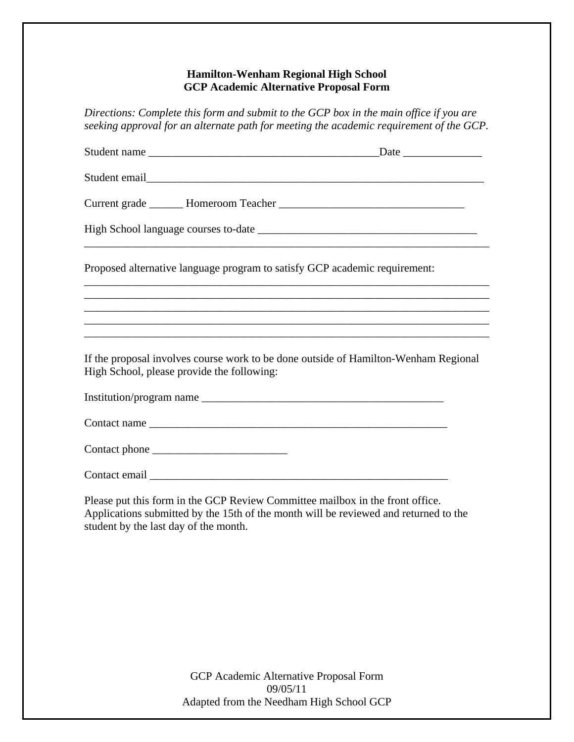## **Hamilton-Wenham Regional High School GCP Academic Alternative Proposal Form**

*Directions: Complete this form and submit to the GCP box in the main office if you are seeking approval for an alternate path for meeting the academic requirement of the GCP.* 

| Proposed alternative language program to satisfy GCP academic requirement: |                                                                                     |
|----------------------------------------------------------------------------|-------------------------------------------------------------------------------------|
|                                                                            | ,我们也不能在这里的时候,我们也不能在这里的时候,我们也不能会在这里的时候,我们也不能会在这里的时候,我们也不能会在这里的时候,我们也不能会在这里的时候,我们也不   |
|                                                                            | ,我们也不能在这里的时候,我们也不能在这里的时候,我们也不能会在这里的时候,我们也不能会在这里的时候,我们也不能会在这里的时候,我们也不能会在这里的时候,我们也不   |
|                                                                            | ,我们也不能在这里的时候,我们也不能在这里的时候,我们也不能不能不能不能不能不能不能不能不能不能不能不能不能不能不能。""我们的是,我们也不能不能不能不能不能不能   |
| High School, please provide the following:                                 | If the proposal involves course work to be done outside of Hamilton-Wenham Regional |
|                                                                            |                                                                                     |
|                                                                            |                                                                                     |
|                                                                            |                                                                                     |
|                                                                            |                                                                                     |

Please put this form in the GCP Review Committee mailbox in the front office. Applications submitted by the 15th of the month will be reviewed and returned to the student by the last day of the month.

> GCP Academic Alternative Proposal Form 09/05/11 Adapted from the Needham High School GCP